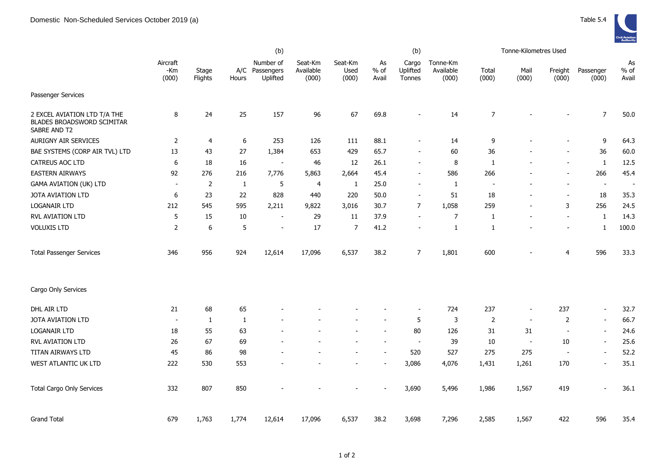

|                                                                                   | (b)                      |                  |                  |                                         |                               |                          |                          | (b)                         |                                |                          | Tonne-Kilometres Used    |                          |                          |                       |
|-----------------------------------------------------------------------------------|--------------------------|------------------|------------------|-----------------------------------------|-------------------------------|--------------------------|--------------------------|-----------------------------|--------------------------------|--------------------------|--------------------------|--------------------------|--------------------------|-----------------------|
|                                                                                   | Aircraft<br>-Km<br>(000) | Stage<br>Flights | Hours            | Number of<br>A/C Passengers<br>Uplifted | Seat-Km<br>Available<br>(000) | Seat-Km<br>Used<br>(000) | As<br>$%$ of<br>Avail    | Cargo<br>Uplifted<br>Tonnes | Tonne-Km<br>Available<br>(000) | Total<br>(000)           | Mail<br>(000)            | Freight<br>(000)         | Passenger<br>(000)       | As<br>$%$ of<br>Avail |
| Passenger Services                                                                |                          |                  |                  |                                         |                               |                          |                          |                             |                                |                          |                          |                          |                          |                       |
| 2 EXCEL AVIATION LTD T/A THE<br><b>BLADES BROADSWORD SCIMITAR</b><br>SABRE AND T2 | 8                        | 24               | 25               | 157                                     | 96                            | 67                       | 69.8                     | $\overline{a}$              | 14                             | $\overline{7}$           |                          |                          | $\overline{7}$           | 50.0                  |
| <b>AURIGNY AIR SERVICES</b>                                                       | $\overline{2}$           | $\overline{4}$   | $\boldsymbol{6}$ | 253                                     | 126                           | 111                      | 88.1                     | $\blacksquare$              | 14                             | 9                        |                          |                          | 9                        | 64.3                  |
| BAE SYSTEMS (CORP AIR TVL) LTD                                                    | 13                       | 43               | 27               | 1,384                                   | 653                           | 429                      | 65.7                     | $\overline{\phantom{a}}$    | 60                             | 36                       |                          |                          | 36                       | 60.0                  |
| CATREUS AOC LTD                                                                   | 6                        | 18               | 16               | $\blacksquare$                          | 46                            | 12                       | 26.1                     | $\blacksquare$              | 8                              | $\mathbf{1}$             |                          |                          | $\mathbf{1}$             | 12.5                  |
| <b>EASTERN AIRWAYS</b>                                                            | 92                       | 276              | 216              | 7,776                                   | 5,863                         | 2,664                    | 45.4                     | $\overline{\phantom{a}}$    | 586                            | 266                      |                          |                          | 266                      | 45.4                  |
| <b>GAMA AVIATION (UK) LTD</b>                                                     | $\sim$                   | 2                | $\mathbf{1}$     | 5                                       | 4                             | 1                        | 25.0                     | $\blacksquare$              | 1                              | $\overline{\phantom{a}}$ | $\overline{\phantom{a}}$ | $\overline{\phantom{a}}$ | $\blacksquare$           | $\sim$                |
| JOTA AVIATION LTD                                                                 | 6                        | 23               | 22               | 828                                     | 440                           | 220                      | 50.0                     | $\overline{\phantom{a}}$    | 51                             | 18                       | $\overline{\phantom{a}}$ | $\overline{\phantom{a}}$ | 18                       | 35.3                  |
| <b>LOGANAIR LTD</b>                                                               | 212                      | 545              | 595              | 2,211                                   | 9,822                         | 3,016                    | 30.7                     | 7                           | 1,058                          | 259                      | $\overline{\phantom{a}}$ | 3                        | 256                      | 24.5                  |
| <b>RVL AVIATION LTD</b>                                                           | 5                        | 15               | 10               | $\overline{\phantom{a}}$                | 29                            | 11                       | 37.9                     | $\overline{\phantom{a}}$    | 7                              | $\mathbf{1}$             | $\overline{\phantom{a}}$ | $\overline{\phantom{a}}$ | $\mathbf{1}$             | 14.3                  |
| <b>VOLUXIS LTD</b>                                                                | $\overline{2}$           | 6                | 5                | $\blacksquare$                          | 17                            | 7                        | 41.2                     | $\overline{\phantom{a}}$    | $\mathbf{1}$                   | $\mathbf{1}$             |                          | $\overline{\phantom{a}}$ | $\mathbf{1}$             | 100.0                 |
| <b>Total Passenger Services</b>                                                   | 346                      | 956              | 924              | 12,614                                  | 17,096                        | 6,537                    | 38.2                     | $\overline{7}$              | 1,801                          | 600                      |                          | $\overline{4}$           | 596                      | 33.3                  |
| Cargo Only Services                                                               |                          |                  |                  |                                         |                               |                          |                          |                             |                                |                          |                          |                          |                          |                       |
| DHL AIR LTD                                                                       | 21                       | 68               | 65               |                                         |                               |                          |                          | $\overline{\phantom{a}}$    | 724                            | 237                      | $\blacksquare$           | 237                      | $\sim$                   | 32.7                  |
| <b>JOTA AVIATION LTD</b>                                                          | $\overline{\phantom{a}}$ | 1                | $\mathbf{1}$     |                                         |                               |                          |                          | 5                           | 3                              | 2                        | $\blacksquare$           | 2                        | $\sim$                   | 66.7                  |
| <b>LOGANAIR LTD</b>                                                               | 18                       | 55               | 63               |                                         |                               |                          | $\overline{\phantom{a}}$ | 80                          | 126                            | 31                       | 31                       | $\blacksquare$           | $\overline{\phantom{a}}$ | 24.6                  |
| RVL AVIATION LTD                                                                  | 26                       | 67               | 69               |                                         |                               |                          |                          | $\overline{a}$              | 39                             | 10                       | $\overline{\phantom{a}}$ | 10                       | $\overline{\phantom{a}}$ | 25.6                  |
| TITAN AIRWAYS LTD                                                                 | 45                       | 86               | 98               |                                         |                               |                          |                          | 520                         | 527                            | 275                      | 275                      |                          | $\overline{\phantom{a}}$ | 52.2                  |
| WEST ATLANTIC UK LTD                                                              | 222                      | 530              | 553              |                                         |                               |                          |                          | 3,086                       | 4,076                          | 1,431                    | 1,261                    | 170                      | $\overline{\phantom{a}}$ | 35.1                  |
| <b>Total Cargo Only Services</b>                                                  | 332                      | 807              | 850              |                                         |                               |                          |                          | 3,690                       | 5,496                          | 1,986                    | 1,567                    | 419                      | $\sim$                   | 36.1                  |
| <b>Grand Total</b>                                                                | 679                      | 1,763            | 1,774            | 12,614                                  | 17,096                        | 6,537                    | 38.2                     | 3,698                       | 7,296                          | 2,585                    | 1,567                    | 422                      | 596                      | 35.4                  |